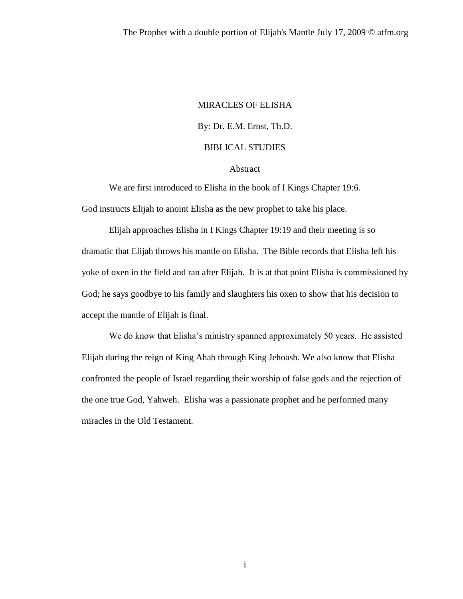# MIRACLES OF ELISHA By: Dr. E.M. Ernst, Th.D. BIBLICAL STUDIES

#### Abstract

We are first introduced to Elisha in the book of I Kings Chapter 19:6. God instructs Elijah to anoint Elisha as the new prophet to take his place.

Elijah approaches Elisha in I Kings Chapter 19:19 and their meeting is so dramatic that Elijah throws his mantle on Elisha. The Bible records that Elisha left his yoke of oxen in the field and ran after Elijah. It is at that point Elisha is commissioned by God; he says goodbye to his family and slaughters his oxen to show that his decision to accept the mantle of Elijah is final.

We do know that Elisha's ministry spanned approximately 50 years. He assisted Elijah during the reign of King Ahab through King Jehoash. We also know that Elisha confronted the people of Israel regarding their worship of false gods and the rejection of the one true God, Yahweh. Elisha was a passionate prophet and he performed many miracles in the Old Testament.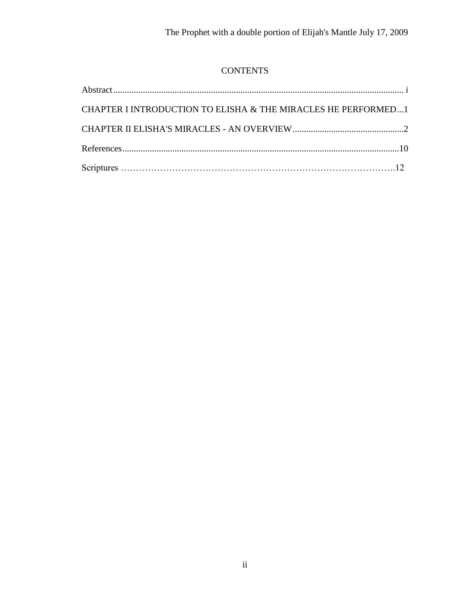# **CONTENTS**

| CHAPTER I INTRODUCTION TO ELISHA & THE MIRACLES HE PERFORMED1 |  |
|---------------------------------------------------------------|--|
|                                                               |  |
|                                                               |  |
|                                                               |  |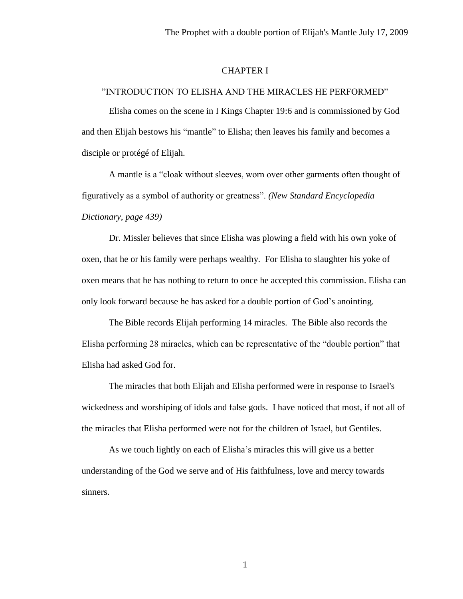### CHAPTER I

# "INTRODUCTION TO ELISHA AND THE MIRACLES HE PERFORMED"

Elisha comes on the scene in I Kings Chapter 19:6 and is commissioned by God and then Elijah bestows his "mantle" to Elisha; then leaves his family and becomes a disciple or protégé of Elijah.

A mantle is a "cloak without sleeves, worn over other garments often thought of figuratively as a symbol of authority or greatness". *(New Standard Encyclopedia Dictionary, page 439)*

Dr. Missler believes that since Elisha was plowing a field with his own yoke of oxen, that he or his family were perhaps wealthy. For Elisha to slaughter his yoke of oxen means that he has nothing to return to once he accepted this commission. Elisha can only look forward because he has asked for a double portion of God's anointing.

The Bible records Elijah performing 14 miracles. The Bible also records the Elisha performing 28 miracles, which can be representative of the "double portion" that Elisha had asked God for.

The miracles that both Elijah and Elisha performed were in response to Israel's wickedness and worshiping of idols and false gods. I have noticed that most, if not all of the miracles that Elisha performed were not for the children of Israel, but Gentiles.

As we touch lightly on each of Elisha's miracles this will give us a better understanding of the God we serve and of His faithfulness, love and mercy towards sinners.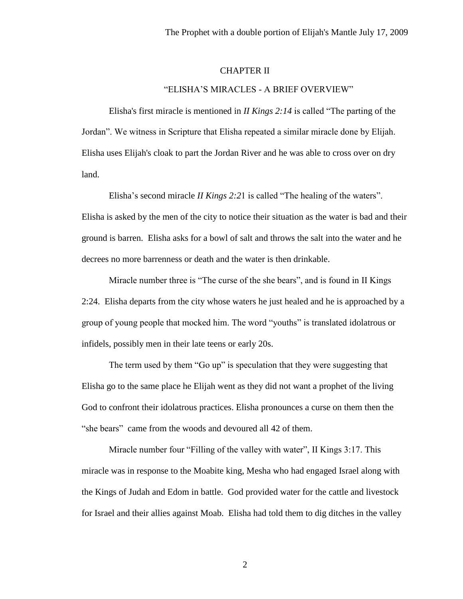# CHAPTER II

### "ELISHA'S MIRACLES - A BRIEF OVERVIEW"

Elisha's first miracle is mentioned in *II Kings 2:14* is called "The parting of the Jordan". We witness in Scripture that Elisha repeated a similar miracle done by Elijah. Elisha uses Elijah's cloak to part the Jordan River and he was able to cross over on dry land.

Elisha's second miracle *II Kings 2:2*1 is called "The healing of the waters". Elisha is asked by the men of the city to notice their situation as the water is bad and their ground is barren. Elisha asks for a bowl of salt and throws the salt into the water and he decrees no more barrenness or death and the water is then drinkable.

Miracle number three is "The curse of the she bears", and is found in II Kings 2:24. Elisha departs from the city whose waters he just healed and he is approached by a group of young people that mocked him. The word "youths" is translated idolatrous or infidels, possibly men in their late teens or early 20s.

The term used by them "Go up" is speculation that they were suggesting that Elisha go to the same place he Elijah went as they did not want a prophet of the living God to confront their idolatrous practices. Elisha pronounces a curse on them then the "she bears" came from the woods and devoured all 42 of them.

Miracle number four "Filling of the valley with water", II Kings 3:17. This miracle was in response to the Moabite king, Mesha who had engaged Israel along with the Kings of Judah and Edom in battle. God provided water for the cattle and livestock for Israel and their allies against Moab. Elisha had told them to dig ditches in the valley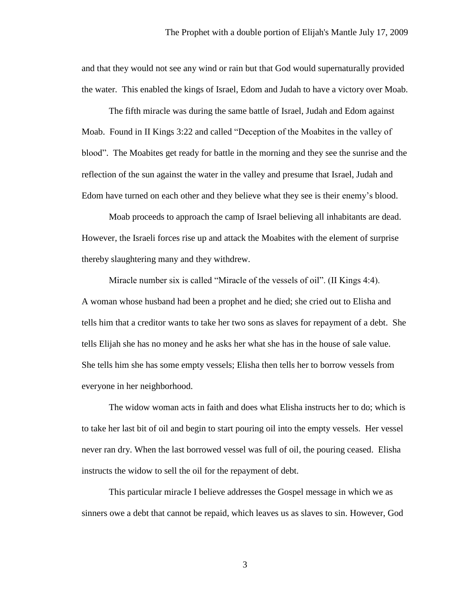and that they would not see any wind or rain but that God would supernaturally provided the water. This enabled the kings of Israel, Edom and Judah to have a victory over Moab.

The fifth miracle was during the same battle of Israel, Judah and Edom against Moab. Found in II Kings 3:22 and called "Deception of the Moabites in the valley of blood". The Moabites get ready for battle in the morning and they see the sunrise and the reflection of the sun against the water in the valley and presume that Israel, Judah and Edom have turned on each other and they believe what they see is their enemy's blood.

Moab proceeds to approach the camp of Israel believing all inhabitants are dead. However, the Israeli forces rise up and attack the Moabites with the element of surprise thereby slaughtering many and they withdrew.

Miracle number six is called "Miracle of the vessels of oil". (II Kings 4:4). A woman whose husband had been a prophet and he died; she cried out to Elisha and tells him that a creditor wants to take her two sons as slaves for repayment of a debt. She tells Elijah she has no money and he asks her what she has in the house of sale value. She tells him she has some empty vessels; Elisha then tells her to borrow vessels from everyone in her neighborhood.

The widow woman acts in faith and does what Elisha instructs her to do; which is to take her last bit of oil and begin to start pouring oil into the empty vessels. Her vessel never ran dry. When the last borrowed vessel was full of oil, the pouring ceased. Elisha instructs the widow to sell the oil for the repayment of debt.

This particular miracle I believe addresses the Gospel message in which we as sinners owe a debt that cannot be repaid, which leaves us as slaves to sin. However, God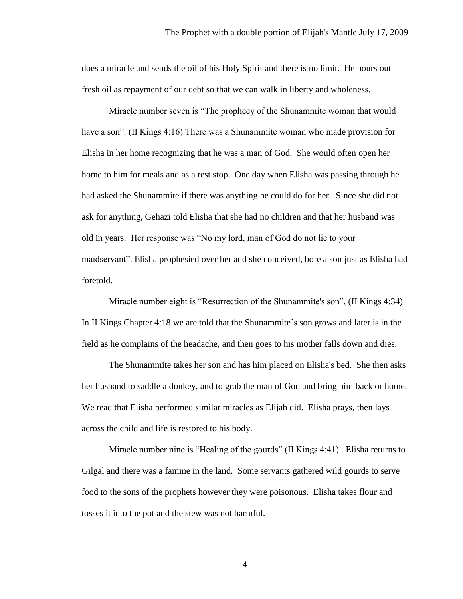does a miracle and sends the oil of his Holy Spirit and there is no limit. He pours out fresh oil as repayment of our debt so that we can walk in liberty and wholeness.

Miracle number seven is "The prophecy of the Shunammite woman that would have a son". (II Kings 4:16) There was a Shunammite woman who made provision for Elisha in her home recognizing that he was a man of God. She would often open her home to him for meals and as a rest stop. One day when Elisha was passing through he had asked the Shunammite if there was anything he could do for her. Since she did not ask for anything, Gehazi told Elisha that she had no children and that her husband was old in years. Her response was "No my lord, man of God do not lie to your maidservant". Elisha prophesied over her and she conceived, bore a son just as Elisha had foretold.

Miracle number eight is "Resurrection of the Shunammite's son", (II Kings 4:34) In II Kings Chapter 4:18 we are told that the Shunammite's son grows and later is in the field as he complains of the headache, and then goes to his mother falls down and dies.

The Shunammite takes her son and has him placed on Elisha's bed. She then asks her husband to saddle a donkey, and to grab the man of God and bring him back or home. We read that Elisha performed similar miracles as Elijah did. Elisha prays, then lays across the child and life is restored to his body.

Miracle number nine is "Healing of the gourds" (II Kings 4:41). Elisha returns to Gilgal and there was a famine in the land. Some servants gathered wild gourds to serve food to the sons of the prophets however they were poisonous. Elisha takes flour and tosses it into the pot and the stew was not harmful.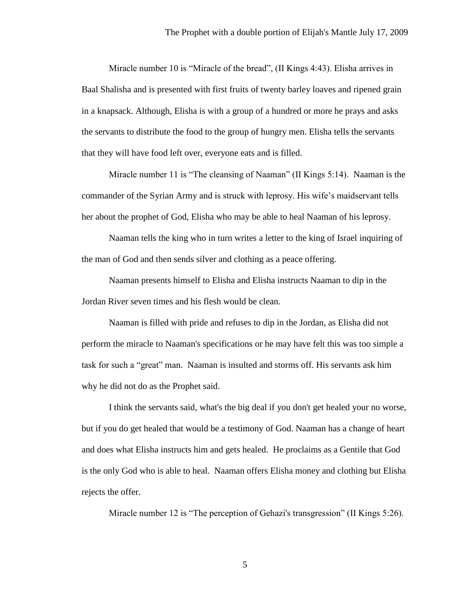Miracle number 10 is "Miracle of the bread", (II Kings 4:43). Elisha arrives in Baal Shalisha and is presented with first fruits of twenty barley loaves and ripened grain in a knapsack. Although, Elisha is with a group of a hundred or more he prays and asks the servants to distribute the food to the group of hungry men. Elisha tells the servants that they will have food left over, everyone eats and is filled.

Miracle number 11 is "The cleansing of Naaman" (II Kings 5:14). Naaman is the commander of the Syrian Army and is struck with leprosy. His wife's maidservant tells her about the prophet of God, Elisha who may be able to heal Naaman of his leprosy.

Naaman tells the king who in turn writes a letter to the king of Israel inquiring of the man of God and then sends silver and clothing as a peace offering.

Naaman presents himself to Elisha and Elisha instructs Naaman to dip in the Jordan River seven times and his flesh would be clean.

Naaman is filled with pride and refuses to dip in the Jordan, as Elisha did not perform the miracle to Naaman's specifications or he may have felt this was too simple a task for such a "great" man. Naaman is insulted and storms off. His servants ask him why he did not do as the Prophet said.

I think the servants said, what's the big deal if you don't get healed your no worse, but if you do get healed that would be a testimony of God. Naaman has a change of heart and does what Elisha instructs him and gets healed. He proclaims as a Gentile that God is the only God who is able to heal. Naaman offers Elisha money and clothing but Elisha rejects the offer.

Miracle number 12 is "The perception of Gehazi's transgression" (II Kings 5:26).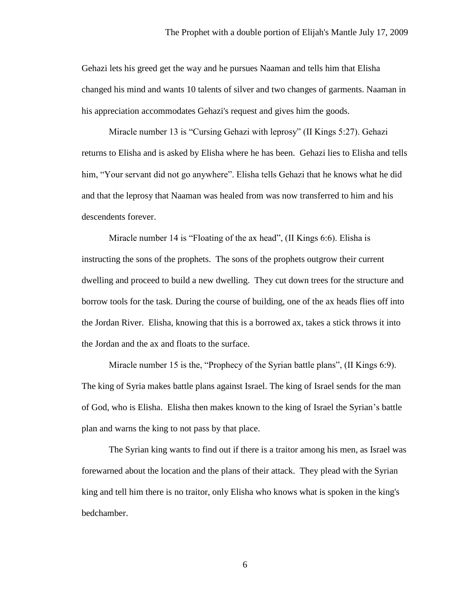Gehazi lets his greed get the way and he pursues Naaman and tells him that Elisha changed his mind and wants 10 talents of silver and two changes of garments. Naaman in his appreciation accommodates Gehazi's request and gives him the goods.

Miracle number 13 is "Cursing Gehazi with leprosy" (II Kings 5:27). Gehazi returns to Elisha and is asked by Elisha where he has been. Gehazi lies to Elisha and tells him, "Your servant did not go anywhere". Elisha tells Gehazi that he knows what he did and that the leprosy that Naaman was healed from was now transferred to him and his descendents forever.

Miracle number 14 is "Floating of the ax head", (II Kings 6:6). Elisha is instructing the sons of the prophets. The sons of the prophets outgrow their current dwelling and proceed to build a new dwelling. They cut down trees for the structure and borrow tools for the task. During the course of building, one of the ax heads flies off into the Jordan River. Elisha, knowing that this is a borrowed ax, takes a stick throws it into the Jordan and the ax and floats to the surface.

Miracle number 15 is the, "Prophecy of the Syrian battle plans", (II Kings 6:9). The king of Syria makes battle plans against Israel. The king of Israel sends for the man of God, who is Elisha. Elisha then makes known to the king of Israel the Syrian's battle plan and warns the king to not pass by that place.

The Syrian king wants to find out if there is a traitor among his men, as Israel was forewarned about the location and the plans of their attack. They plead with the Syrian king and tell him there is no traitor, only Elisha who knows what is spoken in the king's bedchamber.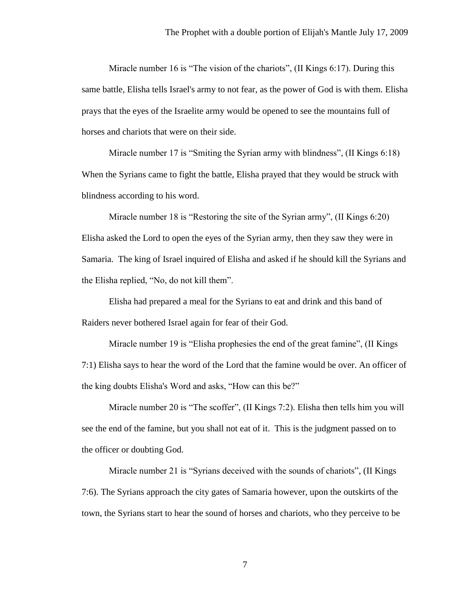Miracle number 16 is "The vision of the chariots", (II Kings 6:17). During this same battle, Elisha tells Israel's army to not fear, as the power of God is with them. Elisha prays that the eyes of the Israelite army would be opened to see the mountains full of horses and chariots that were on their side.

Miracle number 17 is "Smiting the Syrian army with blindness", (II Kings 6:18) When the Syrians came to fight the battle, Elisha prayed that they would be struck with blindness according to his word.

Miracle number 18 is "Restoring the site of the Syrian army", (II Kings 6:20) Elisha asked the Lord to open the eyes of the Syrian army, then they saw they were in Samaria. The king of Israel inquired of Elisha and asked if he should kill the Syrians and the Elisha replied, "No, do not kill them".

Elisha had prepared a meal for the Syrians to eat and drink and this band of Raiders never bothered Israel again for fear of their God.

Miracle number 19 is "Elisha prophesies the end of the great famine", (II Kings 7:1) Elisha says to hear the word of the Lord that the famine would be over. An officer of the king doubts Elisha's Word and asks, "How can this be?"

Miracle number 20 is "The scoffer", (II Kings 7:2). Elisha then tells him you will see the end of the famine, but you shall not eat of it. This is the judgment passed on to the officer or doubting God.

Miracle number 21 is "Syrians deceived with the sounds of chariots", (II Kings 7:6). The Syrians approach the city gates of Samaria however, upon the outskirts of the town, the Syrians start to hear the sound of horses and chariots, who they perceive to be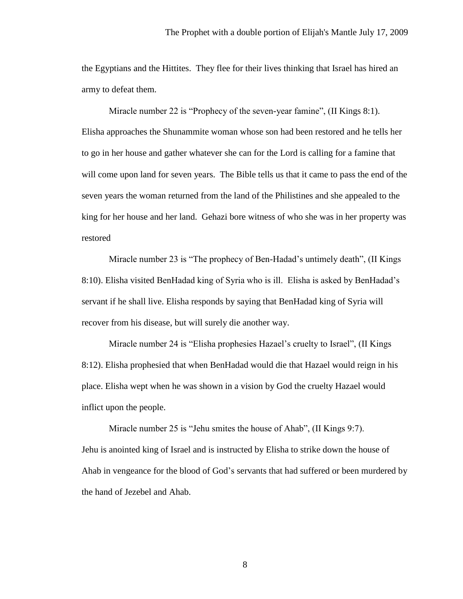the Egyptians and the Hittites. They flee for their lives thinking that Israel has hired an army to defeat them.

Miracle number 22 is "Prophecy of the seven-year famine", (II Kings 8:1). Elisha approaches the Shunammite woman whose son had been restored and he tells her to go in her house and gather whatever she can for the Lord is calling for a famine that will come upon land for seven years. The Bible tells us that it came to pass the end of the seven years the woman returned from the land of the Philistines and she appealed to the king for her house and her land. Gehazi bore witness of who she was in her property was restored

Miracle number 23 is "The prophecy of Ben-Hadad's untimely death", (II Kings 8:10). Elisha visited BenHadad king of Syria who is ill. Elisha is asked by BenHadad's servant if he shall live. Elisha responds by saying that BenHadad king of Syria will recover from his disease, but will surely die another way.

Miracle number 24 is "Elisha prophesies Hazael's cruelty to Israel", (II Kings 8:12). Elisha prophesied that when BenHadad would die that Hazael would reign in his place. Elisha wept when he was shown in a vision by God the cruelty Hazael would inflict upon the people.

Miracle number 25 is "Jehu smites the house of Ahab", (II Kings 9:7). Jehu is anointed king of Israel and is instructed by Elisha to strike down the house of Ahab in vengeance for the blood of God's servants that had suffered or been murdered by the hand of Jezebel and Ahab.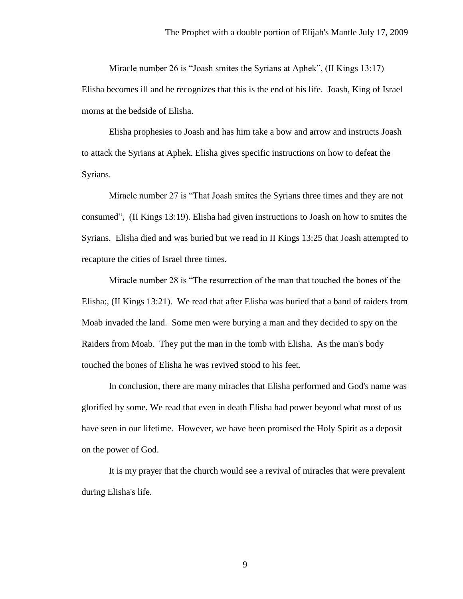Miracle number 26 is "Joash smites the Syrians at Aphek", (II Kings 13:17) Elisha becomes ill and he recognizes that this is the end of his life. Joash, King of Israel morns at the bedside of Elisha.

Elisha prophesies to Joash and has him take a bow and arrow and instructs Joash to attack the Syrians at Aphek. Elisha gives specific instructions on how to defeat the Syrians.

Miracle number 27 is "That Joash smites the Syrians three times and they are not consumed", (II Kings 13:19). Elisha had given instructions to Joash on how to smites the Syrians. Elisha died and was buried but we read in II Kings 13:25 that Joash attempted to recapture the cities of Israel three times.

Miracle number 28 is "The resurrection of the man that touched the bones of the Elisha:, (II Kings 13:21). We read that after Elisha was buried that a band of raiders from Moab invaded the land. Some men were burying a man and they decided to spy on the Raiders from Moab. They put the man in the tomb with Elisha. As the man's body touched the bones of Elisha he was revived stood to his feet.

In conclusion, there are many miracles that Elisha performed and God's name was glorified by some. We read that even in death Elisha had power beyond what most of us have seen in our lifetime. However, we have been promised the Holy Spirit as a deposit on the power of God.

It is my prayer that the church would see a revival of miracles that were prevalent during Elisha's life.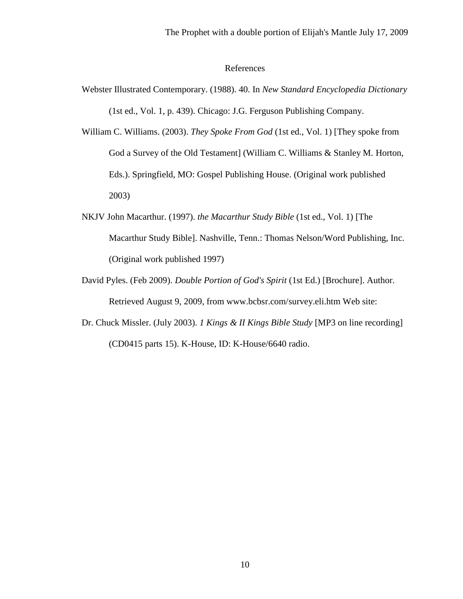# References

- Webster Illustrated Contemporary. (1988). 40. In *New Standard Encyclopedia Dictionary* (1st ed., Vol. 1, p. 439). Chicago: J.G. Ferguson Publishing Company.
- William C. Williams. (2003). *They Spoke From God* (1st ed., Vol. 1) [They spoke from God a Survey of the Old Testament] (William C. Williams & Stanley M. Horton, Eds.). Springfield, MO: Gospel Publishing House. (Original work published 2003)
- NKJV John Macarthur. (1997). *the Macarthur Study Bible* (1st ed., Vol. 1) [The Macarthur Study Bible]. Nashville, Tenn.: Thomas Nelson/Word Publishing, Inc. (Original work published 1997)
- David Pyles. (Feb 2009). *Double Portion of God's Spirit* (1st Ed.) [Brochure]. Author. Retrieved August 9, 2009, from www.bcbsr.com/survey.eli.htm Web site:
- Dr. Chuck Missler. (July 2003). *1 Kings & II Kings Bible Study* [MP3 on line recording] (CD0415 parts 15). K-House, ID: K-House/6640 radio.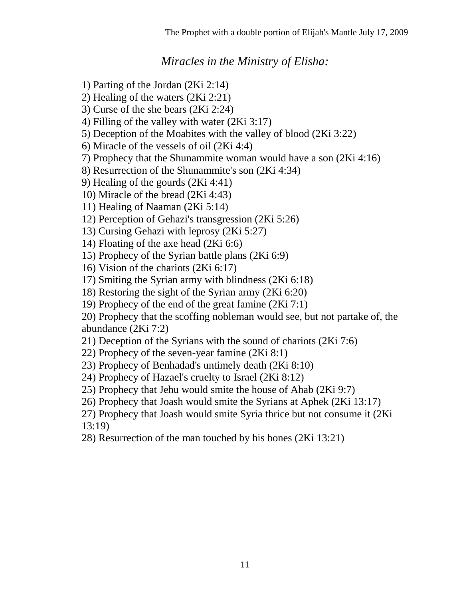# *Miracles in the Ministry of Elisha:*

1) Parting of the Jordan (2Ki 2:14)

2) Healing of the waters (2Ki 2:21)

3) Curse of the she bears (2Ki 2:24)

4) Filling of the valley with water (2Ki 3:17)

5) Deception of the Moabites with the valley of blood (2Ki 3:22)

6) Miracle of the vessels of oil (2Ki 4:4)

7) Prophecy that the Shunammite woman would have a son (2Ki 4:16)

8) Resurrection of the Shunammite's son (2Ki 4:34)

9) Healing of the gourds (2Ki 4:41)

10) Miracle of the bread (2Ki 4:43)

11) Healing of Naaman (2Ki 5:14)

12) Perception of Gehazi's transgression (2Ki 5:26)

13) Cursing Gehazi with leprosy (2Ki 5:27)

14) Floating of the axe head (2Ki 6:6)

15) Prophecy of the Syrian battle plans (2Ki 6:9)

16) Vision of the chariots (2Ki 6:17)

17) Smiting the Syrian army with blindness (2Ki 6:18)

18) Restoring the sight of the Syrian army (2Ki 6:20)

19) Prophecy of the end of the great famine (2Ki 7:1)

20) Prophecy that the scoffing nobleman would see, but not partake of, the abundance (2Ki 7:2)

21) Deception of the Syrians with the sound of chariots (2Ki 7:6)

22) Prophecy of the seven-year famine (2Ki 8:1)

23) Prophecy of Benhadad's untimely death (2Ki 8:10)

24) Prophecy of Hazael's cruelty to Israel (2Ki 8:12)

25) Prophecy that Jehu would smite the house of Ahab (2Ki 9:7)

26) Prophecy that Joash would smite the Syrians at Aphek (2Ki 13:17)

27) Prophecy that Joash would smite Syria thrice but not consume it (2Ki 13:19)

28) Resurrection of the man touched by his bones (2Ki 13:21)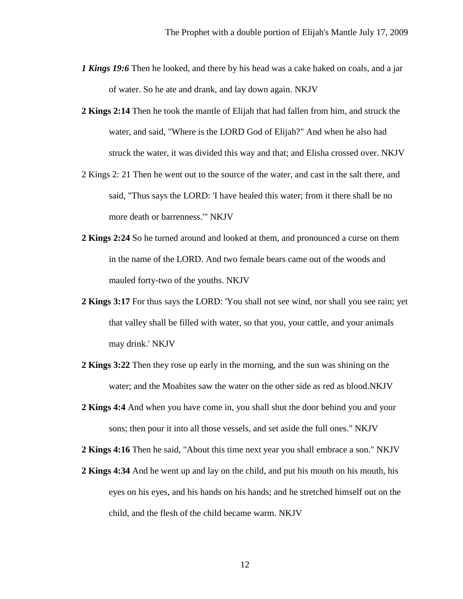- *1 Kings 19:6* Then he looked, and there by his head was a cake baked on coals, and a jar of water. So he ate and drank, and lay down again. NKJV
- **2 Kings 2:14** Then he took the mantle of Elijah that had fallen from him, and struck the water, and said, "Where is the LORD God of Elijah?" And when he also had struck the water, it was divided this way and that; and Elisha crossed over. NKJV
- 2 Kings 2: 21 Then he went out to the source of the water, and cast in the salt there, and said, "Thus says the LORD: 'I have healed this water; from it there shall be no more death or barrenness.'" NKJV
- **2 Kings 2:24** So he turned around and looked at them, and pronounced a curse on them in the name of the LORD. And two female bears came out of the woods and mauled forty-two of the youths. NKJV
- **2 Kings 3:17** For thus says the LORD: 'You shall not see wind, nor shall you see rain; yet that valley shall be filled with water, so that you, your cattle, and your animals may drink.' NKJV
- **2 Kings 3:22** Then they rose up early in the morning, and the sun was shining on the water; and the Moabites saw the water on the other side as red as blood.NKJV
- **2 Kings 4:4** And when you have come in, you shall shut the door behind you and your sons; then pour it into all those vessels, and set aside the full ones." NKJV

**2 Kings 4:16** Then he said, "About this time next year you shall embrace a son." NKJV

**2 Kings 4:34** And he went up and lay on the child, and put his mouth on his mouth, his eyes on his eyes, and his hands on his hands; and he stretched himself out on the child, and the flesh of the child became warm. NKJV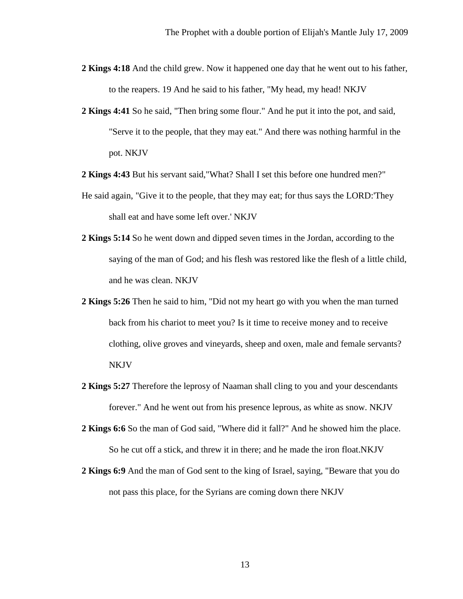- **2 Kings 4:18** And the child grew. Now it happened one day that he went out to his father, to the reapers. 19 And he said to his father, "My head, my head! NKJV
- **2 Kings 4:41** So he said, "Then bring some flour." And he put it into the pot, and said, "Serve it to the people, that they may eat." And there was nothing harmful in the pot. NKJV
- **2 Kings 4:43** But his servant said,"What? Shall I set this before one hundred men?"
- He said again, "Give it to the people, that they may eat; for thus says the LORD:'They shall eat and have some left over.' NKJV
- **2 Kings 5:14** So he went down and dipped seven times in the Jordan, according to the saying of the man of God; and his flesh was restored like the flesh of a little child, and he was clean. NKJV
- **2 Kings 5:26** Then he said to him, "Did not my heart go with you when the man turned back from his chariot to meet you? Is it time to receive money and to receive clothing, olive groves and vineyards, sheep and oxen, male and female servants? NKJV
- **2 Kings 5:27** Therefore the leprosy of Naaman shall cling to you and your descendants forever." And he went out from his presence leprous, as white as snow. NKJV
- **2 Kings 6:6** So the man of God said, "Where did it fall?" And he showed him the place. So he cut off a stick, and threw it in there; and he made the iron float.NKJV
- **2 Kings 6:9** And the man of God sent to the king of Israel, saying, "Beware that you do not pass this place, for the Syrians are coming down there NKJV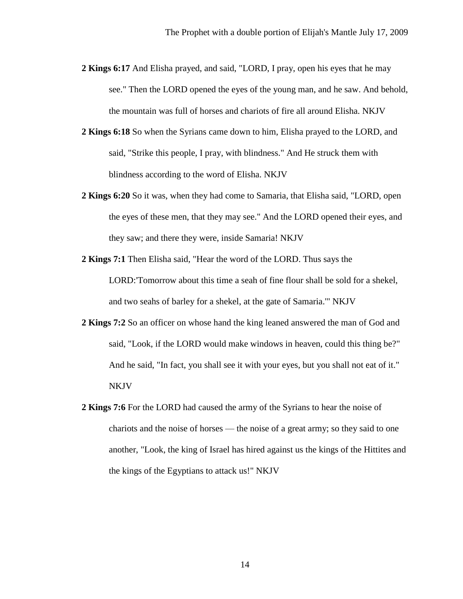- **2 Kings 6:17** And Elisha prayed, and said, "LORD, I pray, open his eyes that he may see." Then the LORD opened the eyes of the young man, and he saw. And behold, the mountain was full of horses and chariots of fire all around Elisha. NKJV
- **2 Kings 6:18** So when the Syrians came down to him, Elisha prayed to the LORD, and said, "Strike this people, I pray, with blindness." And He struck them with blindness according to the word of Elisha. NKJV
- **2 Kings 6:20** So it was, when they had come to Samaria, that Elisha said, "LORD, open the eyes of these men, that they may see." And the LORD opened their eyes, and they saw; and there they were, inside Samaria! NKJV
- **2 Kings 7:1** Then Elisha said, "Hear the word of the LORD. Thus says the LORD:'Tomorrow about this time a seah of fine flour shall be sold for a shekel, and two seahs of barley for a shekel, at the gate of Samaria.'" NKJV
- **2 Kings 7:2** So an officer on whose hand the king leaned answered the man of God and said, "Look, if the LORD would make windows in heaven, could this thing be?" And he said, "In fact, you shall see it with your eyes, but you shall not eat of it." NKJV
- **2 Kings 7:6** For the LORD had caused the army of the Syrians to hear the noise of chariots and the noise of horses — the noise of a great army; so they said to one another, "Look, the king of Israel has hired against us the kings of the Hittites and the kings of the Egyptians to attack us!" NKJV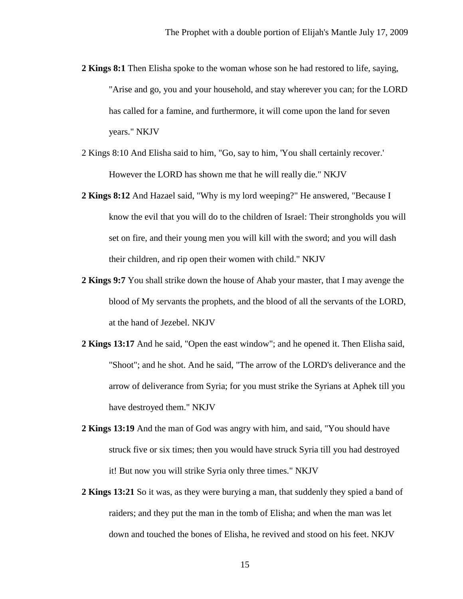- **2 Kings 8:1** Then Elisha spoke to the woman whose son he had restored to life, saying, "Arise and go, you and your household, and stay wherever you can; for the LORD has called for a famine, and furthermore, it will come upon the land for seven years." NKJV
- 2 Kings 8:10 And Elisha said to him, "Go, say to him, 'You shall certainly recover.' However the LORD has shown me that he will really die." NKJV
- **2 Kings 8:12** And Hazael said, "Why is my lord weeping?" He answered, "Because I know the evil that you will do to the children of Israel: Their strongholds you will set on fire, and their young men you will kill with the sword; and you will dash their children, and rip open their women with child." NKJV
- **2 Kings 9:7** You shall strike down the house of Ahab your master, that I may avenge the blood of My servants the prophets, and the blood of all the servants of the LORD, at the hand of Jezebel. NKJV
- **2 Kings 13:17** And he said, "Open the east window"; and he opened it. Then Elisha said, "Shoot"; and he shot. And he said, "The arrow of the LORD's deliverance and the arrow of deliverance from Syria; for you must strike the Syrians at Aphek till you have destroyed them." NKJV
- **2 Kings 13:19** And the man of God was angry with him, and said, "You should have struck five or six times; then you would have struck Syria till you had destroyed it! But now you will strike Syria only three times." NKJV
- **2 Kings 13:21** So it was, as they were burying a man, that suddenly they spied a band of raiders; and they put the man in the tomb of Elisha; and when the man was let down and touched the bones of Elisha, he revived and stood on his feet. NKJV